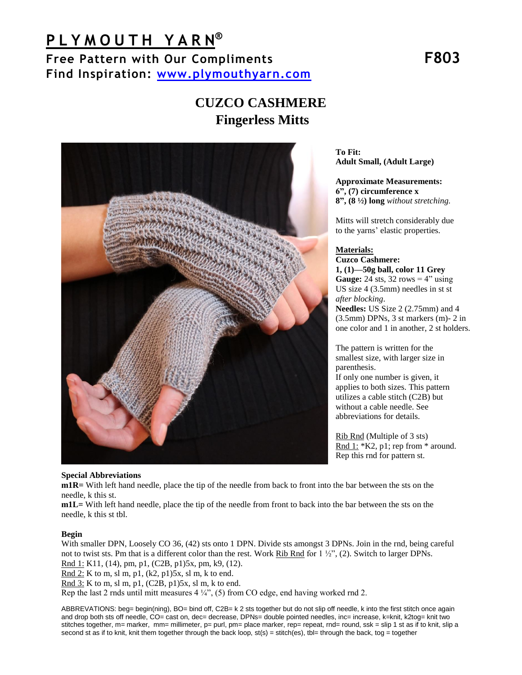# **P L Y M O U T H Y A R N ®**

**Free Pattern with Our Compliments F803 Find Inspiration: [www.plymouthyarn.com](http://www.plymouthyarn.com/)** 

# **CUZCO CASHMERE Fingerless Mitts**



**To Fit: Adult Small, (Adult Large)**

**Approximate Measurements: 6", (7) circumference x 8", (8 ½) long** *without stretching.* 

Mitts will stretch considerably due to the yarns' elastic properties.

## **Materials:**

**Cuzco Cashmere: 1, (1)—50g ball, color 11 Grey Gauge:** 24 sts, 32 rows  $= 4$ " using US size 4 (3.5mm) needles in st st *after blocking*. **Needles:** US Size 2 (2.75mm) and 4 (3.5mm) DPNs, 3 st markers (m)- 2 in one color and 1 in another, 2 st holders.

The pattern is written for the smallest size, with larger size in parenthesis. If only one number is given, it applies to both sizes. This pattern utilizes a cable stitch (C2B) but without a cable needle. See abbreviations for details.

Rib Rnd (Multiple of 3 sts) Rnd  $1:$  \*K2, p1; rep from \* around. Rep this rnd for pattern st.

## **Special Abbreviations**

**m1R=** With left hand needle, place the tip of the needle from back to front into the bar between the sts on the needle, k this st.

**m1L=** With left hand needle, place the tip of the needle from front to back into the bar between the sts on the needle, k this st tbl.

## **Begin**

With smaller DPN, Loosely CO 36, (42) sts onto 1 DPN. Divide sts amongst 3 DPNs. Join in the rnd, being careful not to twist sts. Pm that is a different color than the rest. Work Rib Rnd for  $1\frac{1}{2}$ , (2). Switch to larger DPNs. Rnd 1: K11, (14), pm, p1, (C2B, p1)5x, pm, k9, (12).

Rnd 2: K to m, sl m, p1, (k2, p1)5x, sl m, k to end.

Rnd 3: K to m, sl m, p1, (C2B, p1)5x, sl m, k to end.

Rep the last 2 rnds until mitt measures  $4\frac{1}{4}$ , (5) from CO edge, end having worked rnd 2.

ABBREVATIONS: beg= begin(ning), BO= bind off, C2B= k 2 sts together but do not slip off needle, k into the first stitch once again and drop both sts off needle, CO= cast on, dec= decrease, DPNs= double pointed needles, inc= increase, k=knit, k2tog= knit two stitches together, m= marker, mm= millimeter, p= purl, pm= place marker, rep= repeat, rnd= round, ssk = slip 1 st as if to knit, slip a second st as if to knit, knit them together through the back loop,  $st(s) = stitch(es)$ , tbl= through the back, tog = together